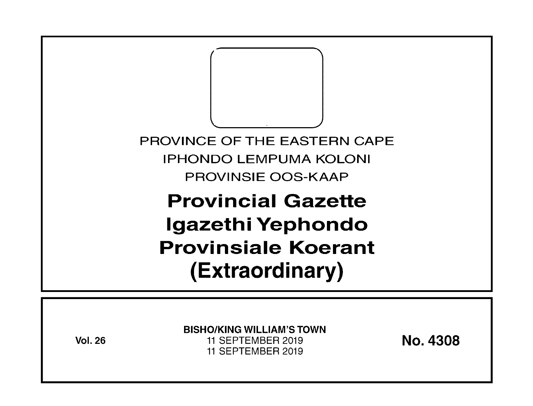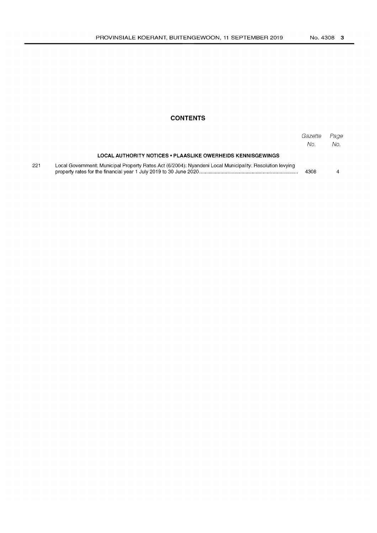## **CONTENTS**

|     |                                                                                                          | Gazette<br>No. | Page<br>No. |
|-----|----------------------------------------------------------------------------------------------------------|----------------|-------------|
|     | LOCAL AUTHORITY NOTICES • PLAASLIKE OWERHEIDS KENNISGEWINGS                                              |                |             |
| 221 | Local Government: Municipal Property Rates Act (6/2004): Nyandeni Local Municipality: Resolution levying | 4308           |             |